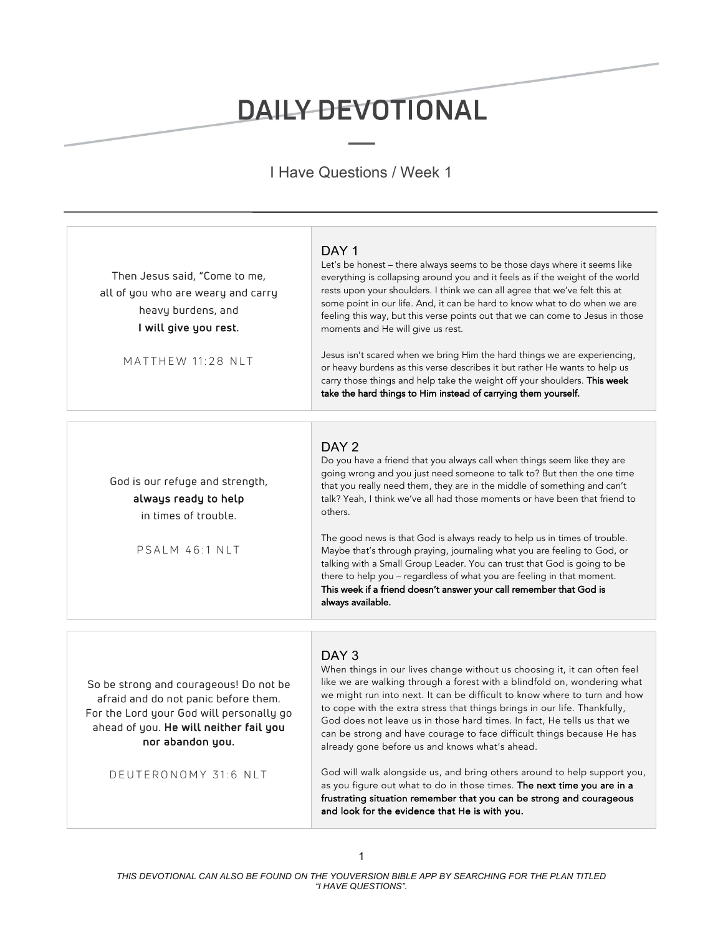## DAILY DEVOTIONAL

I Have Questions / Week 1

| Then Jesus said, "Come to me,<br>all of you who are weary and carry<br>heavy burdens, and<br>I will give you rest.<br>MATTHEW 11:28 NLT                                                                          | DAY <sub>1</sub><br>Let's be honest - there always seems to be those days where it seems like<br>everything is collapsing around you and it feels as if the weight of the world<br>rests upon your shoulders. I think we can all agree that we've felt this at<br>some point in our life. And, it can be hard to know what to do when we are<br>feeling this way, but this verse points out that we can come to Jesus in those<br>moments and He will give us rest.<br>Jesus isn't scared when we bring Him the hard things we are experiencing,<br>or heavy burdens as this verse describes it but rather He wants to help us<br>carry those things and help take the weight off your shoulders. This week<br>take the hard things to Him instead of carrying them yourself. |
|------------------------------------------------------------------------------------------------------------------------------------------------------------------------------------------------------------------|-------------------------------------------------------------------------------------------------------------------------------------------------------------------------------------------------------------------------------------------------------------------------------------------------------------------------------------------------------------------------------------------------------------------------------------------------------------------------------------------------------------------------------------------------------------------------------------------------------------------------------------------------------------------------------------------------------------------------------------------------------------------------------|
| God is our refuge and strength,<br>always ready to help<br>in times of trouble.<br>PSALM 46:1 NLT                                                                                                                | DAY <sub>2</sub><br>Do you have a friend that you always call when things seem like they are<br>going wrong and you just need someone to talk to? But then the one time<br>that you really need them, they are in the middle of something and can't<br>talk? Yeah, I think we've all had those moments or have been that friend to<br>others.<br>The good news is that God is always ready to help us in times of trouble.<br>Maybe that's through praying, journaling what you are feeling to God, or<br>talking with a Small Group Leader. You can trust that God is going to be<br>there to help you - regardless of what you are feeling in that moment.<br>This week if a friend doesn't answer your call remember that God is<br>always available.                      |
| So be strong and courageous! Do not be<br>afraid and do not panic before them.<br>For the Lord your God will personally go<br>ahead of you. He will neither fail you<br>nor abandon you.<br>DEUTERONOMY 31:6 NLT | DAY <sub>3</sub><br>When things in our lives change without us choosing it, it can often feel<br>like we are walking through a forest with a blindfold on, wondering what<br>we might run into next. It can be difficult to know where to turn and how<br>to cope with the extra stress that things brings in our life. Thankfully,<br>God does not leave us in those hard times. In fact, He tells us that we<br>can be strong and have courage to face difficult things because He has<br>already gone before us and knows what's ahead.<br>God will walk alongside us, and bring others around to help support you,                                                                                                                                                        |

as you figure out what to do in those times. The next time you are in a frustrating situation remember that you can be strong and courageous and look for the evidence that He is with you.